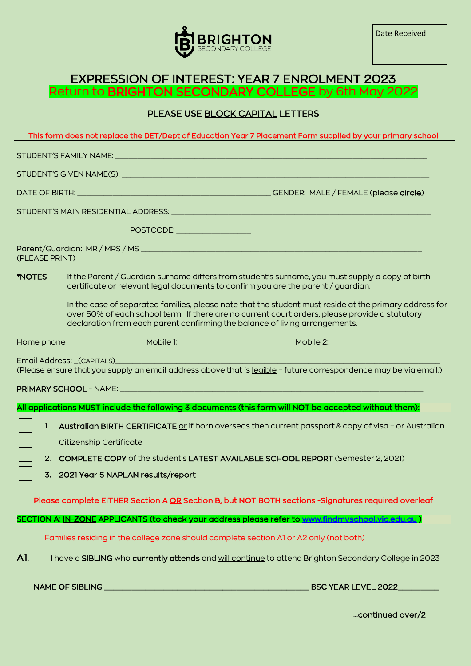

## EXPRESSION OF INTEREST: YEAR 7 ENROLMENT 2023 Return to <mark>BRIGHTON SECONDARY COLLEGE</mark> by 6th May 2022

## PLEASE USE BLOCK CAPITAL LETTERS

|                      | POSTCODE: NAME OF STREET             |                                                                                                                                                                                                                                                                                         |
|----------------------|--------------------------------------|-----------------------------------------------------------------------------------------------------------------------------------------------------------------------------------------------------------------------------------------------------------------------------------------|
| (PLEASE PRINT)       |                                      |                                                                                                                                                                                                                                                                                         |
| <i><b>*NOTES</b></i> |                                      | If the Parent / Guardian surname differs from student's surname, you must supply a copy of birth<br>certificate or relevant legal documents to confirm you are the parent / guardian.                                                                                                   |
|                      |                                      | In the case of separated families, please note that the student must reside at the primary address for<br>over 50% of each school term. If there are no current court orders, please provide a statutory<br>declaration from each parent confirming the balance of living arrangements. |
|                      |                                      |                                                                                                                                                                                                                                                                                         |
|                      |                                      | (Please ensure that you supply an email address above that is legible - future correspondence may be via email.)<br>All applications MUST include the following 3 documents (this form will NOT be accepted without them):                                                              |
|                      |                                      |                                                                                                                                                                                                                                                                                         |
| 1.                   | Citizenship Certificate              | Australian BIRTH CERTIFICATE or if born overseas then current passport & copy of visa - or Australian                                                                                                                                                                                   |
|                      |                                      | 2. COMPLETE COPY of the student's LATEST AVAILABLE SCHOOL REPORT (Semester 2, 2021)                                                                                                                                                                                                     |
|                      | 3. 2021 Year 5 NAPLAN results/report |                                                                                                                                                                                                                                                                                         |
|                      |                                      |                                                                                                                                                                                                                                                                                         |
|                      |                                      | Please complete EITHER Section A OR Section B, but NOT BOTH sections -Signatures required overleaf                                                                                                                                                                                      |
|                      |                                      | SECTION A: <u>IN-ZONE</u> APPLICANTS (to check your address please refer to www.findmyschool.vic.edu.au)                                                                                                                                                                                |
|                      |                                      | Families residing in the college zone should complete section A1 or A2 only (not both)                                                                                                                                                                                                  |
| A1.                  |                                      | I have a SIBLING who currently attends and will continue to attend Brighton Secondary College in 2023                                                                                                                                                                                   |
|                      |                                      | <b>BSC YEAR LEVEL 2022_</b>                                                                                                                                                                                                                                                             |

…continued over/2